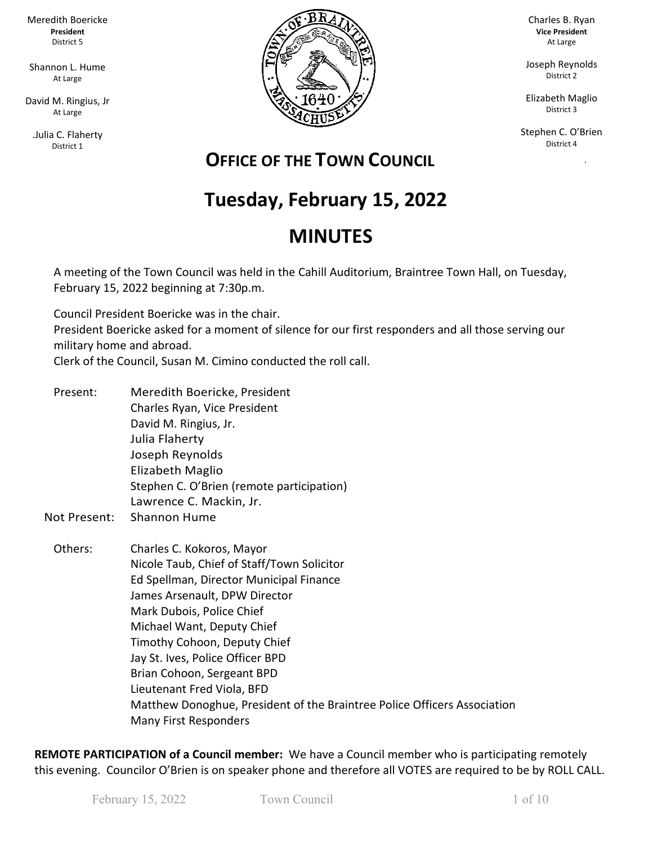Meredith Boericke **President** District 5

Shannon L. Hume At Large

David M. Ringius, Jr At Large

.Julia C. Flaherty District 1



Charles B. Ryan **Vice President** At Large

Joseph Reynolds District 2

Elizabeth Maglio District 3

Stephen C. O'Brien District 4

ka Pangka

## **OFFICE OF THE TOWN COUNCIL**

# **Tuesday, February 15, 2022**

## **MINUTES**

A meeting of the Town Council was held in the Cahill Auditorium, Braintree Town Hall, on Tuesday, February 15, 2022 beginning at 7:30p.m.

Council President Boericke was in the chair. President Boericke asked for a moment of silence for our first responders and all those serving our military home and abroad.

Clerk of the Council, Susan M. Cimino conducted the roll call.

- Present: Meredith Boericke, President Charles Ryan, Vice President David M. Ringius, Jr. Julia Flaherty Joseph Reynolds Elizabeth Maglio Stephen C. O'Brien (remote participation) Lawrence C. Mackin, Jr.
- Not Present: Shannon Hume
	- Others: Charles C. Kokoros, Mayor Nicole Taub, Chief of Staff/Town Solicitor Ed Spellman, Director Municipal Finance James Arsenault, DPW Director Mark Dubois, Police Chief Michael Want, Deputy Chief Timothy Cohoon, Deputy Chief Jay St. Ives, Police Officer BPD Brian Cohoon, Sergeant BPD Lieutenant Fred Viola, BFD Matthew Donoghue, President of the Braintree Police Officers Association Many First Responders

**REMOTE PARTICIPATION of a Council member:** We have a Council member who is participating remotely this evening. Councilor O'Brien is on speaker phone and therefore all VOTES are required to be by ROLL CALL.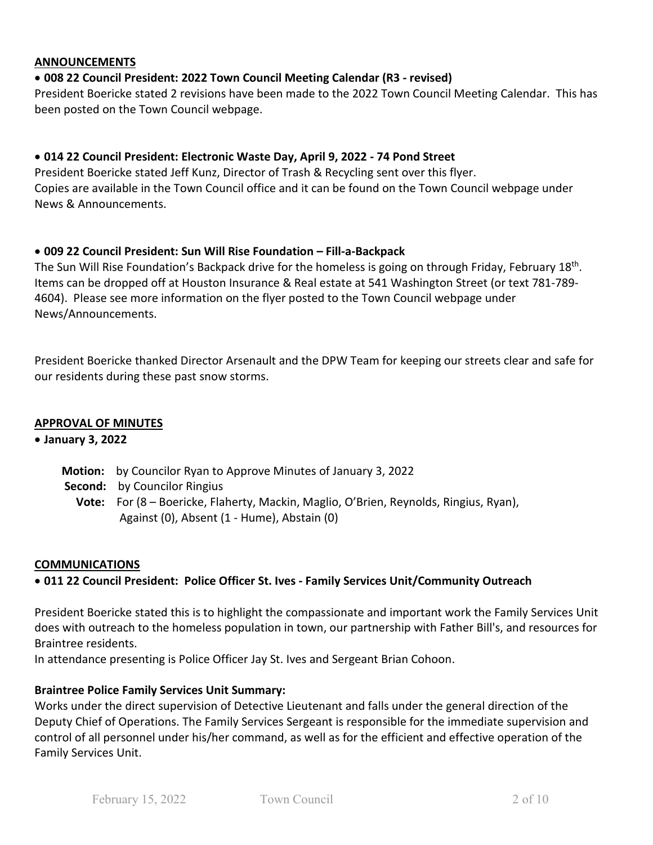#### **ANNOUNCEMENTS**

#### • **008 22 Council President: 2022 Town Council Meeting Calendar (R3 - revised)**

President Boericke stated 2 revisions have been made to the 2022 Town Council Meeting Calendar. This has been posted on the Town Council webpage.

#### • **014 22 Council President: Electronic Waste Day, April 9, 2022 - 74 Pond Street**

President Boericke stated Jeff Kunz, Director of Trash & Recycling sent over this flyer. Copies are available in the Town Council office and it can be found on the Town Council webpage under News & Announcements.

#### • **009 22 Council President: Sun Will Rise Foundation – Fill-a-Backpack**

The Sun Will Rise Foundation's Backpack drive for the homeless is going on through Friday, February 18th. Items can be dropped off at Houston Insurance & Real estate at 541 Washington Street (or text 781-789- 4604). Please see more information on the flyer posted to the Town Council webpage under News/Announcements.

President Boericke thanked Director Arsenault and the DPW Team for keeping our streets clear and safe for our residents during these past snow storms.

#### **APPROVAL OF MINUTES**

#### • **January 3, 2022**

- **Motion:** by Councilor Ryan to Approve Minutes of January 3, 2022
- **Second:** by Councilor Ringius
	- **Vote:** For (8 Boericke, Flaherty, Mackin, Maglio, O'Brien, Reynolds, Ringius, Ryan), Against (0), Absent (1 - Hume), Abstain (0)

#### **COMMUNICATIONS**

#### • **011 22 Council President: Police Officer St. Ives - Family Services Unit/Community Outreach**

President Boericke stated this is to highlight the compassionate and important work the Family Services Unit does with outreach to the homeless population in town, our partnership with Father Bill's, and resources for Braintree residents.

In attendance presenting is Police Officer Jay St. Ives and Sergeant Brian Cohoon.

#### **Braintree Police Family Services Unit Summary:**

Works under the direct supervision of Detective Lieutenant and falls under the general direction of the Deputy Chief of Operations. The Family Services Sergeant is responsible for the immediate supervision and control of all personnel under his/her command, as well as for the efficient and effective operation of the Family Services Unit.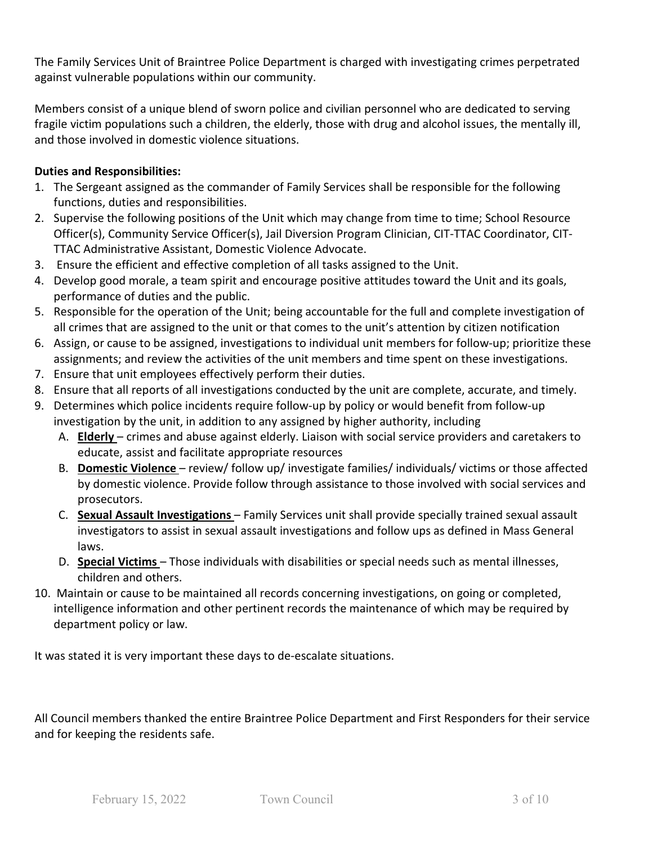The Family Services Unit of Braintree Police Department is charged with investigating crimes perpetrated against vulnerable populations within our community.

Members consist of a unique blend of sworn police and civilian personnel who are dedicated to serving fragile victim populations such a children, the elderly, those with drug and alcohol issues, the mentally ill, and those involved in domestic violence situations.

## **Duties and Responsibilities:**

- 1. The Sergeant assigned as the commander of Family Services shall be responsible for the following functions, duties and responsibilities.
- 2. Supervise the following positions of the Unit which may change from time to time; School Resource Officer(s), Community Service Officer(s), Jail Diversion Program Clinician, CIT-TTAC Coordinator, CIT-TTAC Administrative Assistant, Domestic Violence Advocate.
- 3. Ensure the efficient and effective completion of all tasks assigned to the Unit.
- 4. Develop good morale, a team spirit and encourage positive attitudes toward the Unit and its goals, performance of duties and the public.
- 5. Responsible for the operation of the Unit; being accountable for the full and complete investigation of all crimes that are assigned to the unit or that comes to the unit's attention by citizen notification
- 6. Assign, or cause to be assigned, investigations to individual unit members for follow-up; prioritize these assignments; and review the activities of the unit members and time spent on these investigations.
- 7. Ensure that unit employees effectively perform their duties.
- 8. Ensure that all reports of all investigations conducted by the unit are complete, accurate, and timely.
- 9. Determines which police incidents require follow-up by policy or would benefit from follow-up investigation by the unit, in addition to any assigned by higher authority, including
	- A. **Elderly**  crimes and abuse against elderly. Liaison with social service providers and caretakers to educate, assist and facilitate appropriate resources
	- B. **Domestic Violence**  review/ follow up/ investigate families/ individuals/ victims or those affected by domestic violence. Provide follow through assistance to those involved with social services and prosecutors.
	- C. **Sexual Assault Investigations**  Family Services unit shall provide specially trained sexual assault investigators to assist in sexual assault investigations and follow ups as defined in Mass General laws.
	- D. **Special Victims**  Those individuals with disabilities or special needs such as mental illnesses, children and others.
- 10. Maintain or cause to be maintained all records concerning investigations, on going or completed, intelligence information and other pertinent records the maintenance of which may be required by department policy or law.

It was stated it is very important these days to de-escalate situations.

All Council members thanked the entire Braintree Police Department and First Responders for their service and for keeping the residents safe.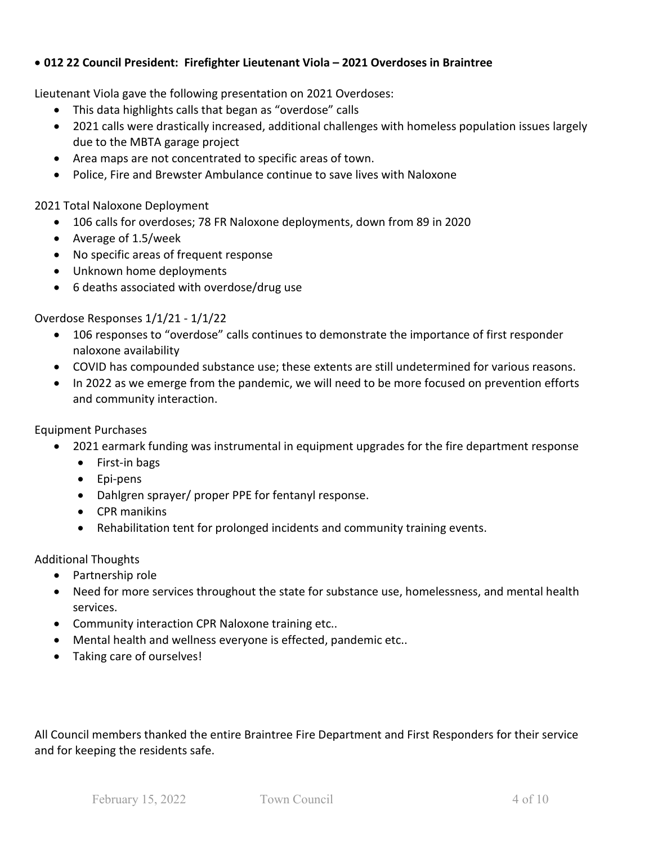## • **012 22 Council President: Firefighter Lieutenant Viola – 2021 Overdoses in Braintree**

Lieutenant Viola gave the following presentation on 2021 Overdoses:

- This data highlights calls that began as "overdose" calls
- 2021 calls were drastically increased, additional challenges with homeless population issues largely due to the MBTA garage project
- Area maps are not concentrated to specific areas of town.
- Police, Fire and Brewster Ambulance continue to save lives with Naloxone

2021 Total Naloxone Deployment

- 106 calls for overdoses; 78 FR Naloxone deployments, down from 89 in 2020
- Average of 1.5/week
- No specific areas of frequent response
- Unknown home deployments
- 6 deaths associated with overdose/drug use

#### Overdose Responses 1/1/21 - 1/1/22

- 106 responses to "overdose" calls continues to demonstrate the importance of first responder naloxone availability
- COVID has compounded substance use; these extents are still undetermined for various reasons.
- In 2022 as we emerge from the pandemic, we will need to be more focused on prevention efforts and community interaction.

Equipment Purchases

- 2021 earmark funding was instrumental in equipment upgrades for the fire department response
	- First-in bags
	- Epi-pens
	- Dahlgren sprayer/ proper PPE for fentanyl response.
	- CPR manikins
	- Rehabilitation tent for prolonged incidents and community training events.

#### Additional Thoughts

- Partnership role
- Need for more services throughout the state for substance use, homelessness, and mental health services.
- Community interaction CPR Naloxone training etc..
- Mental health and wellness everyone is effected, pandemic etc..
- Taking care of ourselves!

All Council members thanked the entire Braintree Fire Department and First Responders for their service and for keeping the residents safe.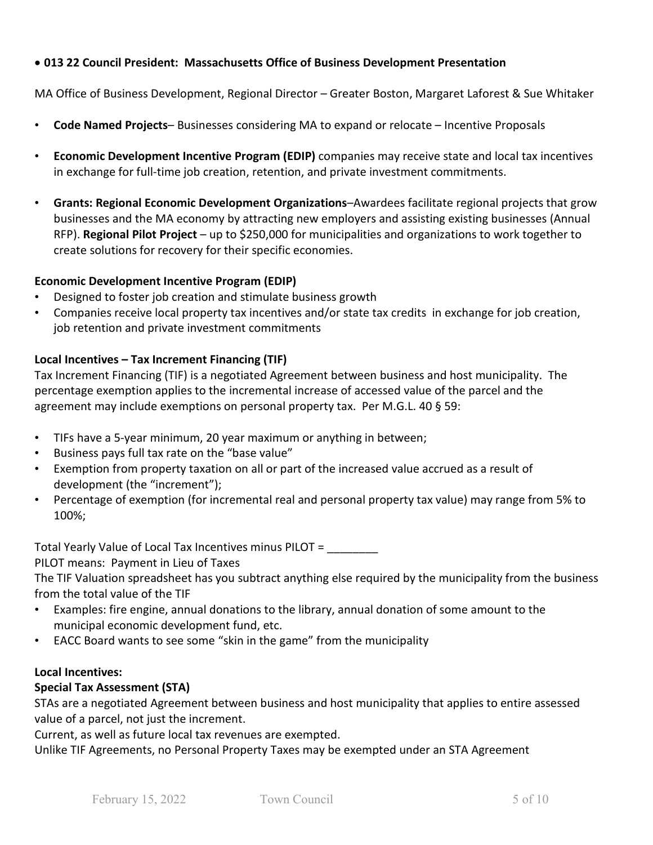## • **013 22 Council President: Massachusetts Office of Business Development Presentation**

MA Office of Business Development, Regional Director – Greater Boston, Margaret Laforest & Sue Whitaker

- **Code Named Projects** Businesses considering MA to expand or relocate Incentive Proposals
- **Economic Development Incentive Program (EDIP)** companies may receive state and local tax incentives in exchange for full-time job creation, retention, and private investment commitments.
- **Grants: Regional Economic Development Organizations**–Awardees facilitate regional projects that grow businesses and the MA economy by attracting new employers and assisting existing businesses (Annual RFP). **Regional Pilot Project** – up to \$250,000 for municipalities and organizations to work together to create solutions for recovery for their specific economies.

#### **Economic Development Incentive Program (EDIP)**

- Designed to foster job creation and stimulate business growth
- Companies receive local property tax incentives and/or state tax credits in exchange for job creation, job retention and private investment commitments

#### **Local Incentives – Tax Increment Financing (TIF)**

Tax Increment Financing (TIF) is a negotiated Agreement between business and host municipality. The percentage exemption applies to the incremental increase of accessed value of the parcel and the agreement may include exemptions on personal property tax. Per M.G.L. 40 § 59:

- TIFs have a 5-year minimum, 20 year maximum or anything in between;
- Business pays full tax rate on the "base value"
- Exemption from property taxation on all or part of the increased value accrued as a result of development (the "increment");
- Percentage of exemption (for incremental real and personal property tax value) may range from 5% to 100%;

Total Yearly Value of Local Tax Incentives minus PILOT = \_\_\_\_\_\_\_\_

#### PILOT means: Payment in Lieu of Taxes

The TIF Valuation spreadsheet has you subtract anything else required by the municipality from the business from the total value of the TIF

- Examples: fire engine, annual donations to the library, annual donation of some amount to the municipal economic development fund, etc.
- EACC Board wants to see some "skin in the game" from the municipality

#### **Local Incentives:**

#### **Special Tax Assessment (STA)**

STAs are a negotiated Agreement between business and host municipality that applies to entire assessed value of a parcel, not just the increment.

Current, as well as future local tax revenues are exempted.

Unlike TIF Agreements, no Personal Property Taxes may be exempted under an STA Agreement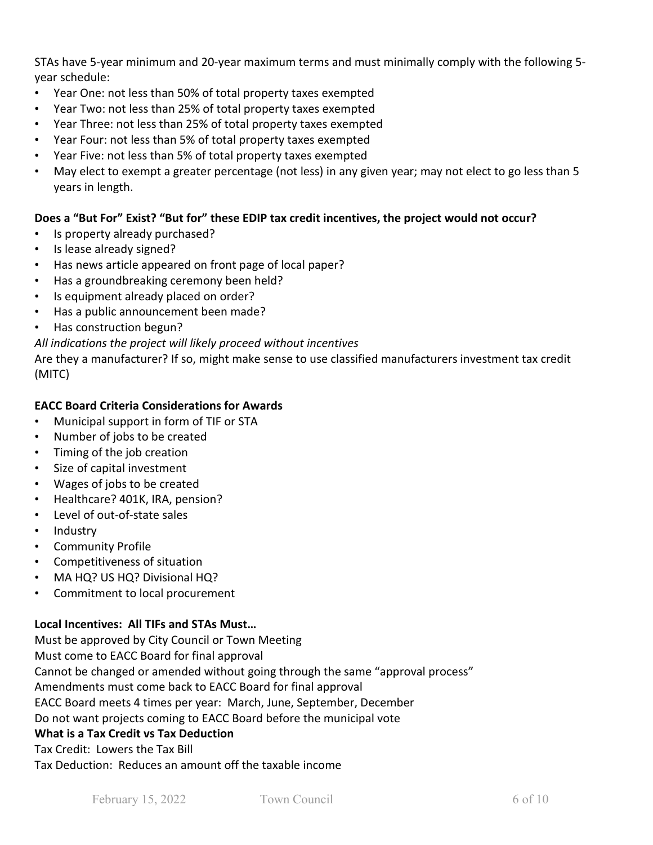STAs have 5-year minimum and 20-year maximum terms and must minimally comply with the following 5 year schedule:

- Year One: not less than 50% of total property taxes exempted
- Year Two: not less than 25% of total property taxes exempted
- Year Three: not less than 25% of total property taxes exempted
- Year Four: not less than 5% of total property taxes exempted
- Year Five: not less than 5% of total property taxes exempted
- May elect to exempt a greater percentage (not less) in any given year; may not elect to go less than 5 years in length.

## **Does a "But For" Exist? "But for" these EDIP tax credit incentives, the project would not occur?**

- Is property already purchased?
- Is lease already signed?
- Has news article appeared on front page of local paper?
- Has a groundbreaking ceremony been held?
- Is equipment already placed on order?
- Has a public announcement been made?
- Has construction begun?

## *All indications the project will likely proceed without incentives*

Are they a manufacturer? If so, might make sense to use classified manufacturers investment tax credit (MITC)

## **EACC Board Criteria Considerations for Awards**

- Municipal support in form of TIF or STA
- Number of jobs to be created
- Timing of the job creation
- Size of capital investment
- Wages of jobs to be created
- Healthcare? 401K, IRA, pension?
- Level of out-of-state sales
- Industry
- Community Profile
- Competitiveness of situation
- MA HQ? US HQ? Divisional HQ?
- Commitment to local procurement

## **Local Incentives: All TIFs and STAs Must…**

Must be approved by City Council or Town Meeting Must come to EACC Board for final approval Cannot be changed or amended without going through the same "approval process" Amendments must come back to EACC Board for final approval EACC Board meets 4 times per year: March, June, September, December Do not want projects coming to EACC Board before the municipal vote **What is a Tax Credit vs Tax Deduction** Tax Credit: Lowers the Tax Bill

Tax Deduction: Reduces an amount off the taxable income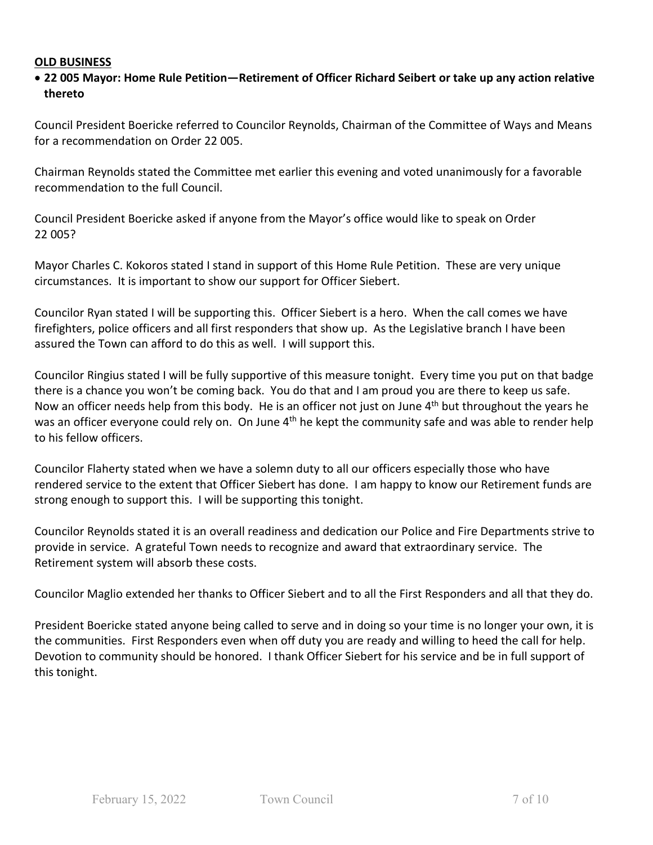#### **OLD BUSINESS**

### • **22 005 Mayor: Home Rule Petition—Retirement of Officer Richard Seibert or take up any action relative thereto**

Council President Boericke referred to Councilor Reynolds, Chairman of the Committee of Ways and Means for a recommendation on Order 22 005.

Chairman Reynolds stated the Committee met earlier this evening and voted unanimously for a favorable recommendation to the full Council.

Council President Boericke asked if anyone from the Mayor's office would like to speak on Order 22 005?

Mayor Charles C. Kokoros stated I stand in support of this Home Rule Petition. These are very unique circumstances. It is important to show our support for Officer Siebert.

Councilor Ryan stated I will be supporting this. Officer Siebert is a hero. When the call comes we have firefighters, police officers and all first responders that show up. As the Legislative branch I have been assured the Town can afford to do this as well. I will support this.

Councilor Ringius stated I will be fully supportive of this measure tonight. Every time you put on that badge there is a chance you won't be coming back. You do that and I am proud you are there to keep us safe. Now an officer needs help from this body. He is an officer not just on June  $4<sup>th</sup>$  but throughout the years he was an officer everyone could rely on. On June 4<sup>th</sup> he kept the community safe and was able to render help to his fellow officers.

Councilor Flaherty stated when we have a solemn duty to all our officers especially those who have rendered service to the extent that Officer Siebert has done. I am happy to know our Retirement funds are strong enough to support this. I will be supporting this tonight.

Councilor Reynolds stated it is an overall readiness and dedication our Police and Fire Departments strive to provide in service. A grateful Town needs to recognize and award that extraordinary service. The Retirement system will absorb these costs.

Councilor Maglio extended her thanks to Officer Siebert and to all the First Responders and all that they do.

President Boericke stated anyone being called to serve and in doing so your time is no longer your own, it is the communities. First Responders even when off duty you are ready and willing to heed the call for help. Devotion to community should be honored. I thank Officer Siebert for his service and be in full support of this tonight.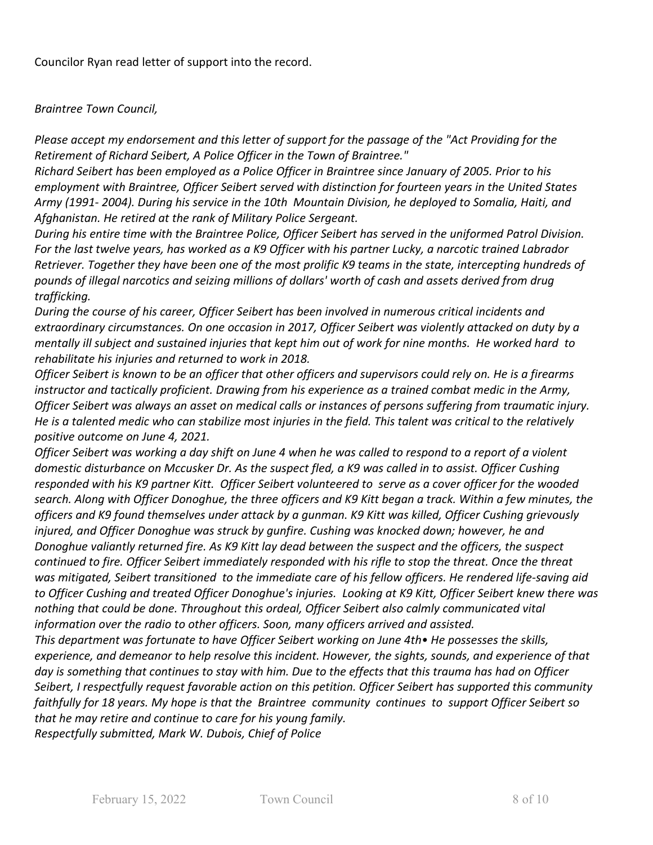Councilor Ryan read letter of support into the record.

#### *Braintree Town Council,*

*Please accept my endorsement and this letter of support for the passage of the "Act Providing for the Retirement of Richard Seibert, A Police Officer in the Town of Braintree."*

*Richard Seibert has been employed as a Police Officer in Braintree since January of 2005. Prior to his employment with Braintree, Officer Seibert served with distinction for fourteen years in the United States Army (1991- 2004). During his service in the 10th Mountain Division, he deployed to Somalia, Haiti, and Afghanistan. He retired at the rank of Military Police Sergeant.*

*During his entire time with the Braintree Police, Officer Seibert has served in the uniformed Patrol Division.* For the last twelve years, has worked as a K9 Officer with his partner Lucky, a narcotic trained Labrador Retriever. Together they have been one of the most prolific K9 teams in the state, intercepting hundreds of *pounds of illegal narcotics and seizing millions of dollars' worth of cash and assets derived from drug trafficking.*

*During the course of his career, Officer Seibert has been involved in numerous critical incidents and extraordinary circumstances. On one occasion in 2017, Officer Seibert was violently attacked on duty by a mentally ill subject and sustained injuries that kept him out of work for nine months. He worked hard to rehabilitate his injuries and returned to work in 2018.*

*Officer Seibert is known to be an officer that other officers and supervisors could rely on. He is a firearms instructor and tactically proficient. Drawing from his experience as a trained combat medic in the Army, Officer Seibert was always an asset on medical calls or instances of persons suffering from traumatic injury. He is a talented medic who can stabilize most injuries in the field. This talent was critical to the relatively positive outcome on June 4, 2021.*

*Officer Seibert was working a day shift on June 4 when he was called to respond to a report of a violent domestic disturbance on Mccusker Dr. As the suspect fled, a K9 was called in to assist. Officer Cushing responded with his K9 partner Kitt. Officer Seibert volunteered to serve as a cover officer for the wooded search. Along with Officer Donoghue, the three officers and K9 Kitt began a track. Within a few minutes, the officers and K9 found themselves under attack by a gunman. K9 Kitt was killed, Officer Cushing grievously injured, and Officer Donoghue was struck by gunfire. Cushing was knocked down; however, he and Donoghue valiantly returned fire. As K9 Kitt lay dead between the suspect and the officers, the suspect continued to fire. Officer Seibert immediately responded with his rifle to stop the threat. Once the threat was mitigated, Seibert transitioned to the immediate care of his fellow officers. He rendered life-saving aid to Officer Cushing and treated Officer Donoghue's injuries. Looking at K9 Kitt, Officer Seibert knew there was nothing that could be done. Throughout this ordeal, Officer Seibert also calmly communicated vital information over the radio to other officers. Soon, many officers arrived and assisted.*

*This department was fortunate to have Officer Seibert working on June 4th• He possesses the skills, experience, and demeanor to help resolve this incident. However, the sights, sounds, and experience of that day is something that continues to stay with him. Due to the effects that this trauma has had on Officer Seibert, I respectfully request favorable action on this petition. Officer Seibert has supported this community faithfully for 18 years. My hope is that the Braintree community continues to support Officer Seibert so that he may retire and continue to care for his young family.*

*Respectfully submitted, Mark W. Dubois, Chief of Police*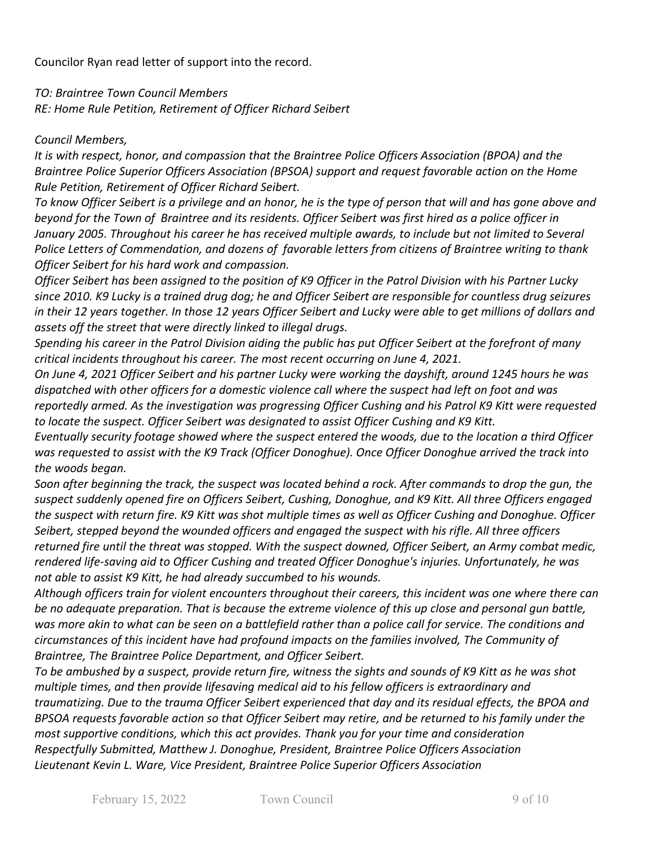Councilor Ryan read letter of support into the record.

*TO: Braintree Town Council Members RE: Home Rule Petition, Retirement of Officer Richard Seibert*

### *Council Members,*

*It is with respect, honor, and compassion that the Braintree Police Officers Association (BPOA) and the Braintree Police Superior Officers Association (BPSOA) support and request favorable action on the Home Rule Petition, Retirement of Officer Richard Seibert.*

*To know Officer Seibert is a privilege and an honor, he is the type of person that will and has gone above and beyond for the Town of Braintree and its residents. Officer Seibert was first hired as a police officer in January 2005. Throughout his career he has received multiple awards, to include but not limited to Several Police Letters of Commendation, and dozens of favorable letters from citizens of Braintree writing to thank Officer Seibert for his hard work and compassion.*

*Officer Seibert has been assigned to the position of K9 Officer in the Patrol Division with his Partner Lucky since 2010. K9 Lucky is a trained drug dog; he and Officer Seibert are responsible for countless drug seizures*  in their 12 years together. In those 12 years Officer Seibert and Lucky were able to get millions of dollars and *assets off the street that were directly linked to illegal drugs.*

*Spending his career in the Patrol Division aiding the public has put Officer Seibert at the forefront of many critical incidents throughout his career. The most recent occurring on June 4, 2021.*

On June 4, 2021 Officer Seibert and his partner Lucky were working the dayshift, around 1245 hours he was *dispatched with other officers for a domestic violence call where the suspect had left on foot and was reportedly armed. As the investigation was progressing Officer Cushing and his Patrol K9 Kitt were requested to locate the suspect. Officer Seibert was designated to assist Officer Cushing and K9 Kitt.*

*Eventually security footage showed where the suspect entered the woods, due to the location a third Officer was requested to assist with the K9 Track (Officer Donoghue). Once Officer Donoghue arrived the track into the woods began.*

*Soon after beginning the track, the suspect was located behind a rock. After commands to drop the gun, the suspect suddenly opened fire on Officers Seibert, Cushing, Donoghue, and K9 Kitt. All three Officers engaged the suspect with return fire. K9 Kitt was shot multiple times as well as Officer Cushing and Donoghue. Officer Seibert, stepped beyond the wounded officers and engaged the suspect with his rifle. All three officers returned fire until the threat was stopped. With the suspect downed, Officer Seibert, an Army combat medic, rendered life-saving aid to Officer Cushing and treated Officer Donoghue's injuries. Unfortunately, he was not able to assist K9 Kitt, he had already succumbed to his wounds.*

*Although officers train for violent encounters throughout their careers, this incident was one where there can be no adequate preparation. That is because the extreme violence of this up close and personal gun battle, was more akin to what can be seen on a battlefield rather than a police call for service. The conditions and circumstances of this incident have had profound impacts on the families involved, The Community of Braintree, The Braintree Police Department, and Officer Seibert.*

*To be ambushed by a suspect, provide return fire, witness the sights and sounds of K9 Kitt as he was shot multiple times, and then provide lifesaving medical aid to his fellow officers is extraordinary and traumatizing. Due to the trauma Officer Seibert experienced that day and its residual effects, the BPOA and BPSOA requests favorable action so that Officer Seibert may retire, and be returned to his family under the most supportive conditions, which this act provides. Thank you for your time and consideration Respectfully Submitted, Matthew J. Donoghue, President, Braintree Police Officers Association Lieutenant Kevin L. Ware, Vice President, Braintree Police Superior Officers Association*